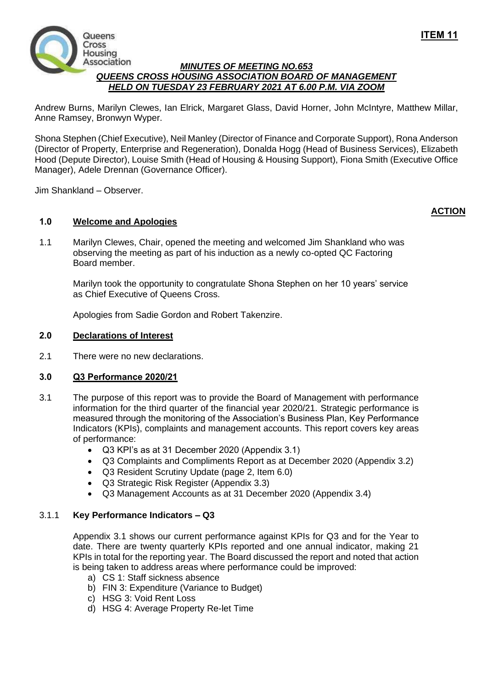

### *MINUTES OF MEETING NO.653 QUEENS CROSS HOUSING ASSOCIATION BOARD OF MANAGEMENT HELD ON TUESDAY 23 FEBRUARY 2021 AT 6.00 P.M. VIA ZOOM*

Andrew Burns, Marilyn Clewes, Ian Elrick, Margaret Glass, David Horner, John McIntyre, Matthew Millar, Anne Ramsey, Bronwyn Wyper.

Shona Stephen (Chief Executive), Neil Manley (Director of Finance and Corporate Support), Rona Anderson (Director of Property, Enterprise and Regeneration), Donalda Hogg (Head of Business Services), Elizabeth Hood (Depute Director), Louise Smith (Head of Housing & Housing Support), Fiona Smith (Executive Office Manager), Adele Drennan (Governance Officer).

Jim Shankland – Observer.

# **1.0 Welcome and Apologies**

1.1 Marilyn Clewes, Chair, opened the meeting and welcomed Jim Shankland who was observing the meeting as part of his induction as a newly co-opted QC Factoring Board member.

Marilyn took the opportunity to congratulate Shona Stephen on her 10 years' service as Chief Executive of Queens Cross.

Apologies from Sadie Gordon and Robert Takenzire.

### **2.0 Declarations of Interest**

2.1 There were no new declarations.

## **3.0 Q3 Performance 2020/21**

- 3.1 The purpose of this report was to provide the Board of Management with performance information for the third quarter of the financial year 2020/21. Strategic performance is measured through the monitoring of the Association's Business Plan, Key Performance Indicators (KPIs), complaints and management accounts. This report covers key areas of performance:
	- Q3 KPI's as at 31 December 2020 (Appendix 3.1)
	- Q3 Complaints and Compliments Report as at December 2020 (Appendix 3.2)
	- Q3 Resident Scrutiny Update (page 2, Item 6.0)
	- Q3 Strategic Risk Register (Appendix 3.3)
	- Q3 Management Accounts as at 31 December 2020 (Appendix 3.4)

### 3.1.1 **Key Performance Indicators – Q3**

Appendix 3.1 shows our current performance against KPIs for Q3 and for the Year to date. There are twenty quarterly KPIs reported and one annual indicator, making 21 KPIs in total for the reporting year. The Board discussed the report and noted that action is being taken to address areas where performance could be improved:

- a) CS 1: Staff sickness absence
- b) FIN 3: Expenditure (Variance to Budget)
- c) HSG 3: Void Rent Loss
- d) HSG 4: Average Property Re-let Time

**ACTION**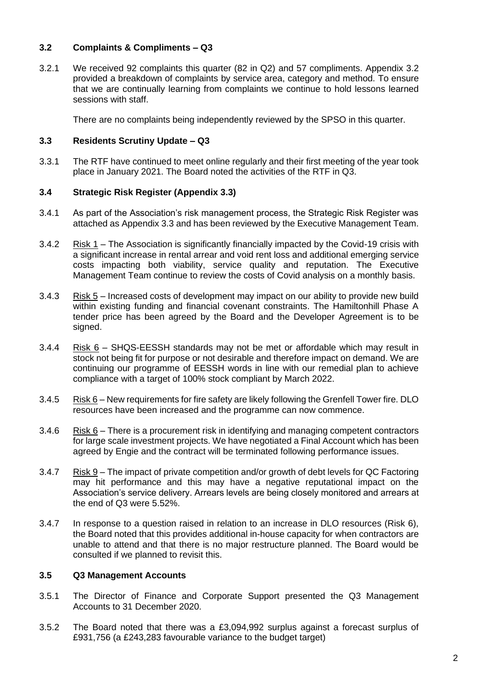## **3.2 Complaints & Compliments – Q3**

3.2.1 We received 92 complaints this quarter (82 in Q2) and 57 compliments. Appendix 3.2 provided a breakdown of complaints by service area, category and method. To ensure that we are continually learning from complaints we continue to hold lessons learned sessions with staff.

There are no complaints being independently reviewed by the SPSO in this quarter.

### **3.3 Residents Scrutiny Update – Q3**

3.3.1 The RTF have continued to meet online regularly and their first meeting of the year took place in January 2021. The Board noted the activities of the RTF in Q3.

## **3.4 Strategic Risk Register (Appendix 3.3)**

- 3.4.1 As part of the Association's risk management process, the Strategic Risk Register was attached as Appendix 3.3 and has been reviewed by the Executive Management Team.
- 3.4.2 Risk 1 The Association is significantly financially impacted by the Covid-19 crisis with a significant increase in rental arrear and void rent loss and additional emerging service costs impacting both viability, service quality and reputation. The Executive Management Team continue to review the costs of Covid analysis on a monthly basis.
- 3.4.3 Risk 5 Increased costs of development may impact on our ability to provide new build within existing funding and financial covenant constraints. The Hamiltonhill Phase A tender price has been agreed by the Board and the Developer Agreement is to be signed.
- 3.4.4 Risk 6 SHQS-EESSH standards may not be met or affordable which may result in stock not being fit for purpose or not desirable and therefore impact on demand. We are continuing our programme of EESSH words in line with our remedial plan to achieve compliance with a target of 100% stock compliant by March 2022.
- 3.4.5 Risk 6 New requirements for fire safety are likely following the Grenfell Tower fire. DLO resources have been increased and the programme can now commence.
- 3.4.6 Risk  $6$  There is a procurement risk in identifying and managing competent contractors for large scale investment projects. We have negotiated a Final Account which has been agreed by Engie and the contract will be terminated following performance issues.
- 3.4.7 Risk 9 The impact of private competition and/or growth of debt levels for QC Factoring may hit performance and this may have a negative reputational impact on the Association's service delivery. Arrears levels are being closely monitored and arrears at the end of Q3 were 5.52%.
- 3.4.7 In response to a question raised in relation to an increase in DLO resources (Risk 6), the Board noted that this provides additional in-house capacity for when contractors are unable to attend and that there is no major restructure planned. The Board would be consulted if we planned to revisit this.

#### **3.5 Q3 Management Accounts**

- 3.5.1 The Director of Finance and Corporate Support presented the Q3 Management Accounts to 31 December 2020.
- 3.5.2 The Board noted that there was a £3,094,992 surplus against a forecast surplus of £931,756 (a £243,283 favourable variance to the budget target)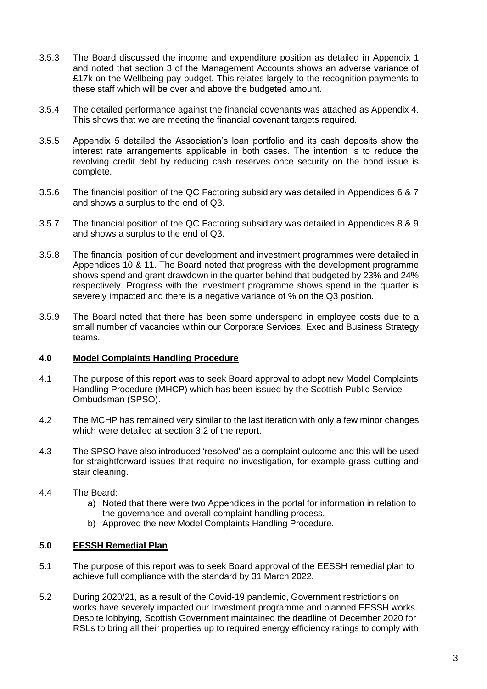- 3.5.3 The Board discussed the income and expenditure position as detailed in Appendix 1 and noted that section 3 of the Management Accounts shows an adverse variance of £17k on the Wellbeing pay budget. This relates largely to the recognition payments to these staff which will be over and above the budgeted amount.
- 3.5.4 The detailed performance against the financial covenants was attached as Appendix 4. This shows that we are meeting the financial covenant targets required.
- 3.5.5 Appendix 5 detailed the Association's loan portfolio and its cash deposits show the interest rate arrangements applicable in both cases. The intention is to reduce the revolving credit debt by reducing cash reserves once security on the bond issue is complete.
- 3.5.6 The financial position of the QC Factoring subsidiary was detailed in Appendices 6 & 7 and shows a surplus to the end of Q3.
- 3.5.7 The financial position of the QC Factoring subsidiary was detailed in Appendices 8 & 9 and shows a surplus to the end of Q3.
- 3.5.8 The financial position of our development and investment programmes were detailed in Appendices 10 & 11. The Board noted that progress with the development programme shows spend and grant drawdown in the quarter behind that budgeted by 23% and 24% respectively. Progress with the investment programme shows spend in the quarter is severely impacted and there is a negative variance of % on the Q3 position.
- 3.5.9 The Board noted that there has been some underspend in employee costs due to a small number of vacancies within our Corporate Services, Exec and Business Strategy teams.

## **4.0 Model Complaints Handling Procedure**

- 4.1 The purpose of this report was to seek Board approval to adopt new Model Complaints Handling Procedure (MHCP) which has been issued by the Scottish Public Service Ombudsman (SPSO).
- 4.2 The MCHP has remained very similar to the last iteration with only a few minor changes which were detailed at section 3.2 of the report.
- 4.3 The SPSO have also introduced 'resolved' as a complaint outcome and this will be used for straightforward issues that require no investigation, for example grass cutting and stair cleaning.

## 4.4 The Board:

- a) Noted that there were two Appendices in the portal for information in relation to the governance and overall complaint handling process.
- b) Approved the new Model Complaints Handling Procedure.

## **5.0 EESSH Remedial Plan**

- 5.1 The purpose of this report was to seek Board approval of the EESSH remedial plan to achieve full compliance with the standard by 31 March 2022.
- 5.2 During 2020/21, as a result of the Covid-19 pandemic, Government restrictions on works have severely impacted our Investment programme and planned EESSH works. Despite lobbying, Scottish Government maintained the deadline of December 2020 for RSLs to bring all their properties up to required energy efficiency ratings to comply with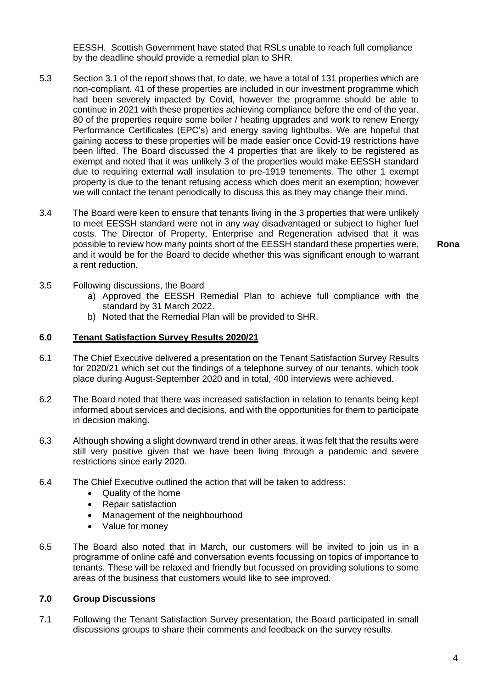EESSH. Scottish Government have stated that RSLs unable to reach full compliance by the deadline should provide a remedial plan to SHR.

- 5.3 Section 3.1 of the report shows that, to date, we have a total of 131 properties which are non-compliant. 41 of these properties are included in our investment programme which had been severely impacted by Covid, however the programme should be able to continue in 2021 with these properties achieving compliance before the end of the year. 80 of the properties require some boiler / heating upgrades and work to renew Energy Performance Certificates (EPC's) and energy saving lightbulbs. We are hopeful that gaining access to these properties will be made easier once Covid-19 restrictions have been lifted. The Board discussed the 4 properties that are likely to be registered as exempt and noted that it was unlikely 3 of the properties would make EESSH standard due to requiring external wall insulation to pre-1919 tenements. The other 1 exempt property is due to the tenant refusing access which does merit an exemption; however we will contact the tenant periodically to discuss this as they may change their mind.
- 3.4 The Board were keen to ensure that tenants living in the 3 properties that were unlikely to meet EESSH standard were not in any way disadvantaged or subject to higher fuel costs. The Director of Property, Enterprise and Regeneration advised that it was possible to review how many points short of the EESSH standard these properties were, and it would be for the Board to decide whether this was significant enough to warrant a rent reduction.

**Rona**

- 3.5 Following discussions, the Board
	- a) Approved the EESSH Remedial Plan to achieve full compliance with the standard by 31 March 2022.
	- b) Noted that the Remedial Plan will be provided to SHR.

#### **6.0 Tenant Satisfaction Survey Results 2020/21**

- 6.1 The Chief Executive delivered a presentation on the Tenant Satisfaction Survey Results for 2020/21 which set out the findings of a telephone survey of our tenants, which took place during August-September 2020 and in total, 400 interviews were achieved.
- 6.2 The Board noted that there was increased satisfaction in relation to tenants being kept informed about services and decisions, and with the opportunities for them to participate in decision making.
- 6.3 Although showing a slight downward trend in other areas, it was felt that the results were still very positive given that we have been living through a pandemic and severe restrictions since early 2020.
- 6.4 The Chief Executive outlined the action that will be taken to address:
	- Quality of the home
	- Repair satisfaction
	- Management of the neighbourhood
	- Value for money
- 6.5 The Board also noted that in March, our customers will be invited to join us in a programme of online café and conversation events focussing on topics of importance to tenants. These will be relaxed and friendly but focussed on providing solutions to some areas of the business that customers would like to see improved.

### **7.0 Group Discussions**

7.1 Following the Tenant Satisfaction Survey presentation, the Board participated in small discussions groups to share their comments and feedback on the survey results.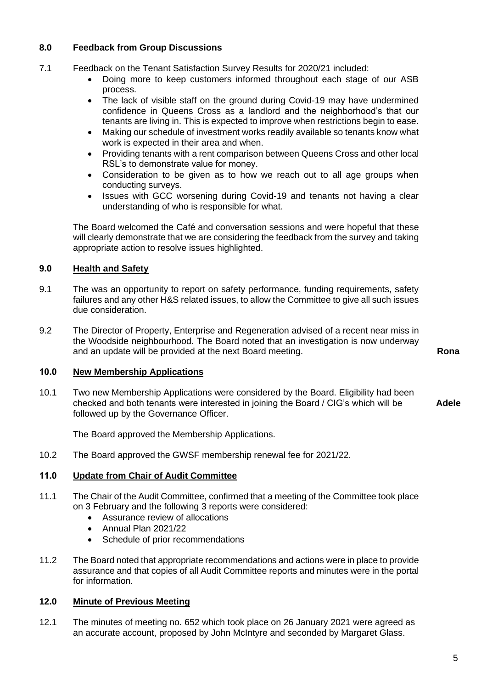## **8.0 Feedback from Group Discussions**

- 7.1 Feedback on the Tenant Satisfaction Survey Results for 2020/21 included:
	- Doing more to keep customers informed throughout each stage of our ASB process.
	- The lack of visible staff on the ground during Covid-19 may have undermined confidence in Queens Cross as a landlord and the neighborhood's that our tenants are living in. This is expected to improve when restrictions begin to ease.
	- Making our schedule of investment works readily available so tenants know what work is expected in their area and when.
	- Providing tenants with a rent comparison between Queens Cross and other local RSL's to demonstrate value for money.
	- Consideration to be given as to how we reach out to all age groups when conducting surveys.
	- Issues with GCC worsening during Covid-19 and tenants not having a clear understanding of who is responsible for what.

The Board welcomed the Café and conversation sessions and were hopeful that these will clearly demonstrate that we are considering the feedback from the survey and taking appropriate action to resolve issues highlighted.

# **9.0 Health and Safety**

- 9.1 The was an opportunity to report on safety performance, funding requirements, safety failures and any other H&S related issues, to allow the Committee to give all such issues due consideration.
- 9.2 The Director of Property, Enterprise and Regeneration advised of a recent near miss in the Woodside neighbourhood. The Board noted that an investigation is now underway and an update will be provided at the next Board meeting. **Rona**

# **10.0 New Membership Applications**

10.1 Two new Membership Applications were considered by the Board. Eligibility had been checked and both tenants were interested in joining the Board / CIG's which will be followed up by the Governance Officer. **Adele**

The Board approved the Membership Applications.

10.2 The Board approved the GWSF membership renewal fee for 2021/22.

## **11.0 Update from Chair of Audit Committee**

- 11.1 The Chair of the Audit Committee, confirmed that a meeting of the Committee took place on 3 February and the following 3 reports were considered:
	- Assurance review of allocations
	- Annual Plan 2021/22
	- Schedule of prior recommendations
- 11.2 The Board noted that appropriate recommendations and actions were in place to provide assurance and that copies of all Audit Committee reports and minutes were in the portal for information.

## **12.0 Minute of Previous Meeting**

12.1 The minutes of meeting no. 652 which took place on 26 January 2021 were agreed as an accurate account, proposed by John McIntyre and seconded by Margaret Glass.